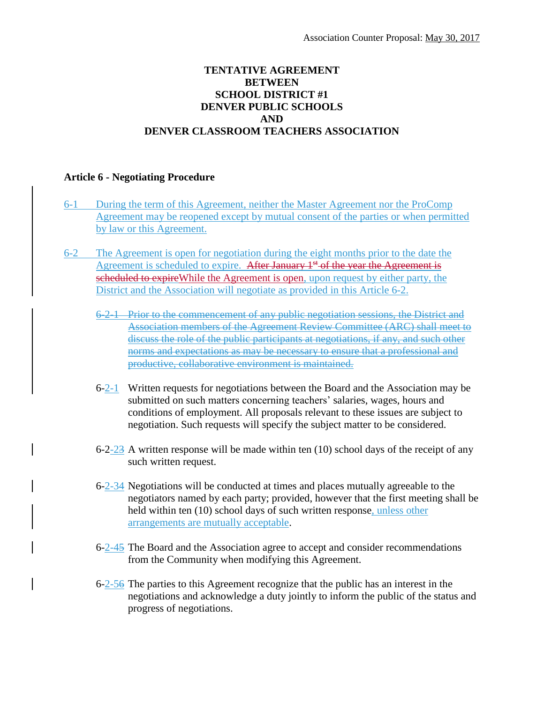## **TENTATIVE AGREEMENT BETWEEN SCHOOL DISTRICT #1 DENVER PUBLIC SCHOOLS AND DENVER CLASSROOM TEACHERS ASSOCIATION**

## **Article 6 - Negotiating Procedure**

- 6-1 During the term of this Agreement, neither the Master Agreement nor the ProComp Agreement may be reopened except by mutual consent of the parties or when permitted by law or this Agreement.
- 6-2 The Agreement is open for negotiation during the eight months prior to the date the Agreement is scheduled to expire. After January  $1<sup>st</sup>$  of the year the Agreement is scheduled to expire While the Agreement is open, upon request by either party, the District and the Association will negotiate as provided in this Article 6-2.
	- 6-2-1 Prior to the commencement of any public negotiation sessions, the District and Association members of the Agreement Review Committee (ARC) shall meet to discuss the role of the public participants at negotiations, if any, and such other norms and expectations as may be necessary to ensure that a professional and productive, collaborative environment is maintained.
	- 6-2-1 Written requests for negotiations between the Board and the Association may be submitted on such matters concerning teachers' salaries, wages, hours and conditions of employment. All proposals relevant to these issues are subject to negotiation. Such requests will specify the subject matter to be considered.
	- 6-2-23 A written response will be made within ten  $(10)$  school days of the receipt of any such written request.
	- 6-2-34 Negotiations will be conducted at times and places mutually agreeable to the negotiators named by each party; provided, however that the first meeting shall be held within ten (10) school days of such written response, unless other arrangements are mutually acceptable.
	- 6-2-45 The Board and the Association agree to accept and consider recommendations from the Community when modifying this Agreement.
	- 6-2-56 The parties to this Agreement recognize that the public has an interest in the negotiations and acknowledge a duty jointly to inform the public of the status and progress of negotiations.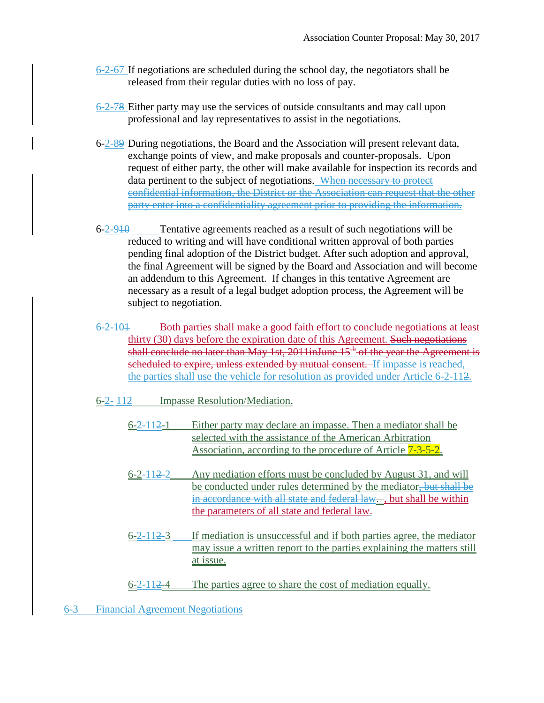- 6-2-67 If negotiations are scheduled during the school day, the negotiators shall be released from their regular duties with no loss of pay.
- 6-2-78 Either party may use the services of outside consultants and may call upon professional and lay representatives to assist in the negotiations.
- 6-2-89 During negotiations, the Board and the Association will present relevant data, exchange points of view, and make proposals and counter-proposals. Upon request of either party, the other will make available for inspection its records and data pertinent to the subject of negotiations. When necessary to protect confidential information, the District or the Association can request that the other party enter into a confidentiality agreement prior to providing the information.
- $6-2-910$  Tentative agreements reached as a result of such negotiations will be reduced to writing and will have conditional written approval of both parties pending final adoption of the District budget. After such adoption and approval, the final Agreement will be signed by the Board and Association and will become an addendum to this Agreement. If changes in this tentative Agreement are necessary as a result of a legal budget adoption process, the Agreement will be subject to negotiation.
- 6-2-101 Both parties shall make a good faith effort to conclude negotiations at least thirty (30) days before the expiration date of this Agreement. Such negotiations shall conclude no later than May 1st,  $2011$ inJune  $15<sup>th</sup>$  of the year the Agreement is scheduled to expire, unless extended by mutual consent. If impasse is reached, the parties shall use the vehicle for resolution as provided under Article 6-2-112.
- 6-2- 112 Impasse Resolution/Mediation.
	- 6-2-112-1 Either party may declare an impasse. Then a mediator shall be selected with the assistance of the American Arbitration Association, according to the procedure of Article  $7-3-5-2$ .
	- 6-2-112-2 Any mediation efforts must be concluded by August 31, and will be conducted under rules determined by the mediator, but shall be in accordance with all state and federal law..., but shall be within the parameters of all state and federal law.
	- 6-2-112-3 If mediation is unsuccessful and if both parties agree, the mediator may issue a written report to the parties explaining the matters still at issue.
	- 6-2-112-4 The parties agree to share the cost of mediation equally.
- 6-3 Financial Agreement Negotiations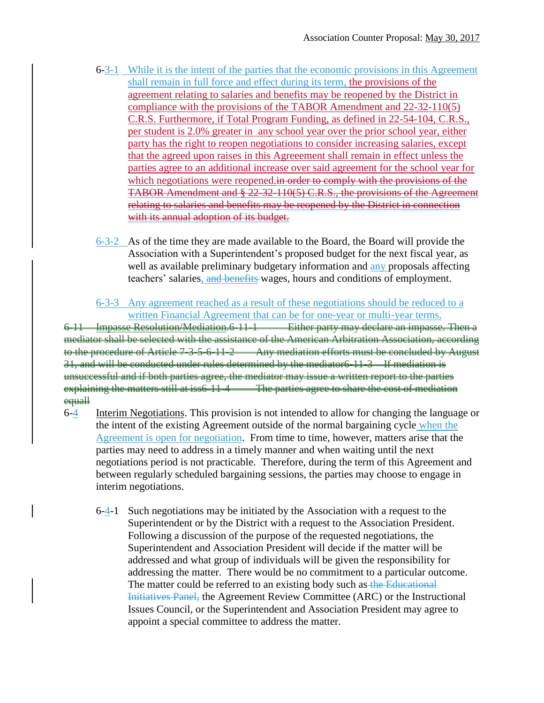- 6-3-1 While it is the intent of the parties that the economic provisions in this Agreement shall remain in full force and effect during its term, the provisions of the agreement relating to salaries and benefits may be reopened by the District in compliance with the provisions of the TABOR Amendment and 22-32-110(5) C.R.S. Furthermore, if Total Program Funding, as defined in 22-54-104, C.R.S., per student is 2.0% greater in any school year over the prior school year, either party has the right to reopen negotiations to consider increasing salaries, except that the agreed upon raises in this Agreeement shall remain in effect unless the parties agree to an additional increase over said agreement for the school year for which negotiations were reopened.in order to comply with the provisions of the TABOR Amendment and § 22-32-110(5) C.R.S., the provisions of the Agreement relating to salaries and benefits may be reopened by the District in connection with its annual adoption of its budget.
- 6-3-2 As of the time they are made available to the Board, the Board will provide the Association with a Superintendent's proposed budget for the next fiscal year, as well as available preliminary budgetary information and any proposals affecting teachers' salaries, and benefits wages, hours and conditions of employment.
- 6-3-3 Any agreement reached as a result of these negotiations should be reduced to a written Financial Agreement that can be for one-year or multi-year terms.

6-11 Impasse Resolution/Mediation.6-11-1 Either party may declare an impasse. Then a mediator shall be selected with the assistance of the American Arbitration Association, according to the procedure of Article 7-3-5-6-11-2 Any mediation efforts must be concluded by August 31, and will be conducted under rules determined by the mediator6-11-3 If mediation is unsuccessful and if both parties agree, the mediator may issue a written report to the parties explaining the matters still at iss6-11-4 The parties agree to share the cost of mediation equall

- 6-4 Interim Negotiations. This provision is not intended to allow for changing the language or the intent of the existing Agreement outside of the normal bargaining cycle when the Agreement is open for negotiation. From time to time, however, matters arise that the parties may need to address in a timely manner and when waiting until the next negotiations period is not practicable. Therefore, during the term of this Agreement and between regularly scheduled bargaining sessions, the parties may choose to engage in interim negotiations.
	- 6-4-1 Such negotiations may be initiated by the Association with a request to the Superintendent or by the District with a request to the Association President. Following a discussion of the purpose of the requested negotiations, the Superintendent and Association President will decide if the matter will be addressed and what group of individuals will be given the responsibility for addressing the matter. There would be no commitment to a particular outcome. The matter could be referred to an existing body such as the Educational Initiatives Panel, the Agreement Review Committee (ARC) or the Instructional Issues Council, or the Superintendent and Association President may agree to appoint a special committee to address the matter.